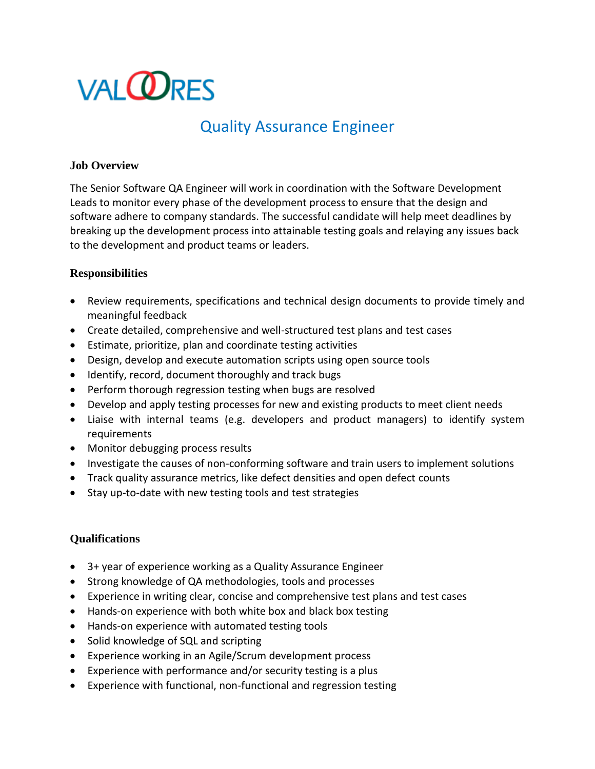# **VALORES**

## Quality Assurance Engineer

### **Job Overview**

The Senior Software QA Engineer will work in coordination with the Software Development Leads to monitor every phase of the development process to ensure that the design and software adhere to company standards. The successful candidate will help meet deadlines by breaking up the development process into attainable testing goals and relaying any issues back to the development and product teams or leaders.

#### **Responsibilities**

- Review requirements, specifications and technical design documents to provide timely and meaningful feedback
- Create detailed, comprehensive and well-structured test plans and test cases
- Estimate, prioritize, plan and coordinate testing activities
- Design, develop and execute automation scripts using open source tools
- Identify, record, document thoroughly and track bugs
- Perform thorough regression testing when bugs are resolved
- Develop and apply testing processes for new and existing products to meet client needs
- Liaise with internal teams (e.g. developers and product managers) to identify system requirements
- Monitor debugging process results
- Investigate the causes of non-conforming software and train users to implement solutions
- Track quality assurance metrics, like defect densities and open defect counts
- Stay up-to-date with new testing tools and test strategies

### **Qualifications**

- 3+ year of experience working as a Quality Assurance Engineer
- Strong knowledge of QA methodologies, tools and processes
- Experience in writing clear, concise and comprehensive test plans and test cases
- Hands-on experience with both white box and black box testing
- Hands-on experience with automated testing tools
- Solid knowledge of SQL and scripting
- Experience working in an Agile/Scrum development process
- Experience with performance and/or security testing is a plus
- Experience with functional, non-functional and regression testing